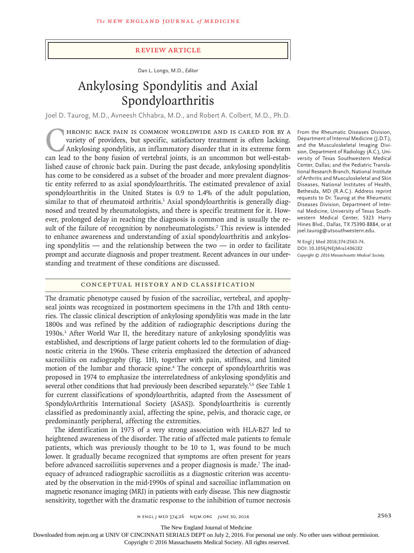## Review Article

Dan L. Longo, M.D., *Editor*

# Ankylosing Spondylitis and Axial Spondyloarthritis

Joel D. Taurog, M.D., Avneesh Chhabra, M.D., and Robert A. Colbert, M.D., Ph.D.

FRONIC BACK PAIN IS COMMON WORLDWIDE AND IS CARED FOR BY A variety of providers, but specific, satisfactory treatment is often lacking.<br>Ankylosing spondylitis, an inflammatory disorder that in its extreme form can lead to variety of providers, but specific, satisfactory treatment is often lacking. Ankylosing spondylitis, an inflammatory disorder that in its extreme form can lead to the bony fusion of vertebral joints, is an uncommon but well-established cause of chronic back pain. During the past decade, ankylosing spondylitis has come to be considered as a subset of the broader and more prevalent diagnostic entity referred to as axial spondyloarthritis. The estimated prevalence of axial spondyloarthritis in the United States is 0.9 to 1.4% of the adult population, similar to that of rheumatoid arthritis.<sup>1</sup> Axial spondyloarthritis is generally diagnosed and treated by rheumatologists, and there is specific treatment for it. However, prolonged delay in reaching the diagnosis is common and is usually the result of the failure of recognition by nonrheumatologists.<sup>2</sup> This review is intended to enhance awareness and understanding of axial spondyloarthritis and ankylosing spondylitis  $-$  and the relationship between the two  $-$  in order to facilitate prompt and accurate diagnosis and proper treatment. Recent advances in our understanding and treatment of these conditions are discussed.

From the Rheumatic Diseases Division, Department of Internal Medicine (J.D.T.), and the Musculoskeletal Imaging Division, Department of Radiology (A.C.), University of Texas Southwestern Medical Center, Dallas; and the Pediatric Translational Research Branch, National Institute of Arthritis and Musculoskeletal and Skin Diseases, National Institutes of Health, Bethesda, MD (R.A.C.). Address reprint requests to Dr. Taurog at the Rheumatic Diseases Division, Department of Internal Medicine, University of Texas Southwestern Medical Center, 5323 Harry Hines Blvd., Dallas, TX 75390-8884, or at joel.taurog@utsouthwestern.edu.

**N Engl J Med 2016;374:2563-74. DOI: 10.1056/NEJMra1406182** *Copyright © 2016 Massachusetts Medical Society.*

## Conceptual History and Classification

The dramatic phenotype caused by fusion of the sacroiliac, vertebral, and apophyseal joints was recognized in postmortem specimens in the 17th and 18th centuries. The classic clinical description of ankylosing spondylitis was made in the late 1800s and was refined by the addition of radiographic descriptions during the 1930s.3 After World War II, the hereditary nature of ankylosing spondylitis was established, and descriptions of large patient cohorts led to the formulation of diagnostic criteria in the 1960s. These criteria emphasized the detection of advanced sacroiliitis on radiography (Fig. 1H), together with pain, stiffness, and limited motion of the lumbar and thoracic spine.<sup>4</sup> The concept of spondyloarthritis was proposed in 1974 to emphasize the interrelatedness of ankylosing spondylitis and several other conditions that had previously been described separately.<sup>5,6</sup> (See Table 1) for current classifications of spondyloarthritis, adapted from the Assessment of SpondyloArthritis International Society [ASAS]). Spondyloarthritis is currently classified as predominantly axial, affecting the spine, pelvis, and thoracic cage, or predominantly peripheral, affecting the extremities.

The identification in 1973 of a very strong association with HLA-B27 led to heightened awareness of the disorder. The ratio of affected male patients to female patients, which was previously thought to be 10 to 1, was found to be much lower. It gradually became recognized that symptoms are often present for years before advanced sacroiliitis supervenes and a proper diagnosis is made.<sup>7</sup> The inadequacy of advanced radiographic sacroiliitis as a diagnostic criterion was accentuated by the observation in the mid-1990s of spinal and sacroiliac inflammation on magnetic resonance imaging (MRI) in patients with early disease. This new diagnostic sensitivity, together with the dramatic response to the inhibition of tumor necrosis

n engl j med 374;26 nejm.org June 30, 2016 2563

The New England Journal of Medicine

Downloaded from nejm.org at UNIV OF CINCINNATI SERIALS DEPT on July 2, 2016. For personal use only. No other uses without permission.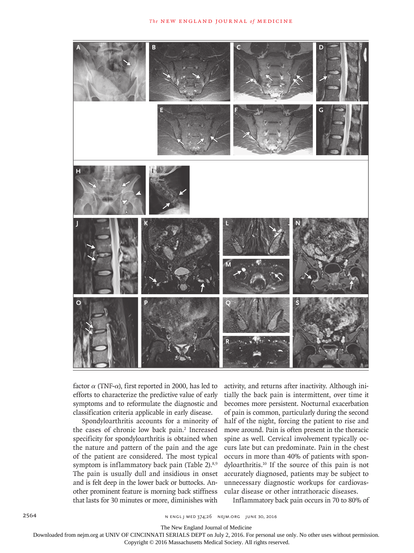

factor  $\alpha$  (TNF- $\alpha$ ), first reported in 2000, has led to efforts to characterize the predictive value of early symptoms and to reformulate the diagnostic and classification criteria applicable in early disease.

Spondyloarthritis accounts for a minority of the cases of chronic low back pain.<sup>2</sup> Increased specificity for spondyloarthritis is obtained when the nature and pattern of the pain and the age of the patient are considered. The most typical symptom is inflammatory back pain (Table 2).<sup>8,9</sup> The pain is usually dull and insidious in onset and is felt deep in the lower back or buttocks. Another prominent feature is morning back stiffness that lasts for 30 minutes or more, diminishes with

activity, and returns after inactivity. Although initially the back pain is intermittent, over time it becomes more persistent. Nocturnal exacerbation of pain is common, particularly during the second half of the night, forcing the patient to rise and move around. Pain is often present in the thoracic spine as well. Cervical involvement typically occurs late but can predominate. Pain in the chest occurs in more than 40% of patients with spondyloarthritis.10 If the source of this pain is not accurately diagnosed, patients may be subject to unnecessary diagnostic workups for cardiovascular disease or other intrathoracic diseases.

Inflammatory back pain occurs in 70 to 80% of

The New England Journal of Medicine

Downloaded from nejm.org at UNIV OF CINCINNATI SERIALS DEPT on July 2, 2016. For personal use only. No other uses without permission.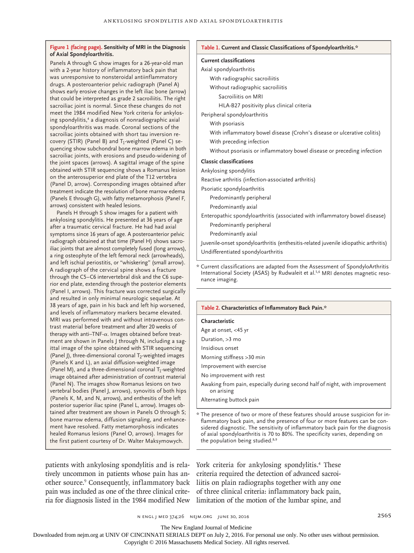#### **Figure 1 (facing page). Sensitivity of MRI in the Diagnosis of Axial Spondyloarthritis.**

Panels A through G show images for a 26-year-old man with a 2-year history of inflammatory back pain that was unresponsive to nonsteroidal antiinflammatory drugs. A posteroanterior pelvic radiograph (Panel A) shows early erosive changes in the left iliac bone (arrow that could be interpreted as grade 2 sacroiliitis. The rig sacroiliac joint is normal. Since these changes do not meet the 1984 modified New York criteria for ankylo ing spondylitis,<sup>4</sup> a diagnosis of nonradiographic axial spondyloarthritis was made. Coronal sections of the sacroiliac joints obtained with short tau inversion recovery (STIR) (Panel B) and  $T_1$ -weighted (Panel C) se quencing show subchondral bone marrow edema in bo sacroiliac joints, with erosions and pseudo-widening the joint spaces (arrows). A sagittal image of the spin obtained with STIR sequencing shows a Romanus lesion on the anterosuperior end plate of the T12 vertebra (Panel D, arrow). Corresponding images obtained aft treatment indicate the resolution of bone marrow eden (Panels E through G), with fatty metamorphosis (Panel arrows) consistent with healed lesions.

Panels H through S show images for a patient with ankylosing spondylitis. He presented at 36 years of age after a traumatic cervical fracture. He had had axial symptoms since 16 years of age. A posteroanterior pelvic radiograph obtained at that time (Panel H) shows sacroiliac joints that are almost completely fused (long arrows), a ring osteophyte of the left femoral neck (arrowheads), and left ischial periostitis, or "whiskering" (small arrow). A radiograph of the cervical spine shows a fracture through the C5–C6 intervertebral disk and the C6 superior end plate, extending through the posterior elements (Panel I, arrows). This fracture was corrected surgically and resulted in only minimal neurologic sequelae. At 38 years of age, pain in his back and left hip worsened, and levels of inflammatory markers became elevated. MRI was performed with and without intravenous contrast material before treatment and after 20 weeks of therapy with anti–TNF- $\alpha$ . Images obtained before treatment are shown in Panels J through N, including a sagittal image of the spine obtained with STIR sequencing (Panel J), three-dimensional coronal  $T_2$ -weighted images (Panels K and L), an axial diffusion-weighted image (Panel M), and a three-dimensional coronal  $T_1$ -weighted image obtained after administration of contrast material (Panel N). The images show Romanus lesions on two vertebral bodies (Panel J, arrows), synovitis of both hips (Panels K, M, and N, arrows), and enthesitis of the left posterior superior iliac spine (Panel L, arrow). Images obtained after treatment are shown in Panels O through S; bone marrow edema, diffusion signaling, and enhancement have resolved. Fatty metamorphosis indicates healed Romanus lesions (Panel O, arrows). Images for the first patient courtesy of Dr. Walter Maksymowych.

#### **Table 1. Current and Classic Classifications of Spondyloarthritis.\***

# **Current classifications**

| n                        | Current ClassinCations                                                      |
|--------------------------|-----------------------------------------------------------------------------|
|                          | Axial spondyloarthritis                                                     |
|                          | With radiographic sacroiliitis                                              |
|                          | Without radiographic sacroiliitis                                           |
| w)<br>:ht                | Sacroiliitis on MRI                                                         |
|                          | HLA-B27 positivity plus clinical criteria                                   |
| $\mathsf{s}\text{-}$     | Peripheral spondyloarthritis                                                |
|                          | With psoriasis                                                              |
|                          | With inflammatory bowel disease (Crohn's disease or ulcerative colitis)     |
| į.                       | With preceding infection                                                    |
| ,th<br>of                | Without psoriasis or inflammatory bowel disease or preceding infection      |
| ۱e                       | <b>Classic classifications</b>                                              |
| วท                       | Ankylosing spondylitis                                                      |
| :er<br>٦a<br>F,          | Reactive arthritis (infection-associated arthritis)                         |
|                          | Psoriatic spondyloarthritis                                                 |
|                          | Predominantly peripheral                                                    |
|                          | Predominantly axial                                                         |
| $\overline{\phantom{a}}$ | Enteropathic spondyloarthritis (associated with inflammatory bowel disease) |
|                          |                                                                             |

Predominantly axial

Predominantly peripheral

Juvenile-onset spondyloarthritis (enthesitis-related juvenile idiopathic arthritis) Undifferentiated spondyloarthritis

\* Current classifications are adapted from the Assessment of SpondyloArthritis International Society (ASAS) by Rudwaleit et al.<sup>5,6</sup> MRI denotes magnetic resonance imaging.

#### **Table 2. Characteristics of Inflammatory Back Pain.\***

#### **Characteristic**

Age at onset, <45 yr

Duration, >3 mo

Insidious onset

Morning stiffness >30 min

Improvement with exercise

No improvement with rest

Awaking from pain, especially during second half of night, with improvement on arising

Alternating buttock pain

\* The presence of two or more of these features should arouse suspicion for inflammatory back pain, and the presence of four or more features can be considered diagnostic. The sensitivity of inflammatory back pain for the diagnosis of axial spondyloarthritis is 70 to 80%. The specificity varies, depending on the population being studied.<sup>8,9</sup>

patients with ankylosing spondylitis and is relatively uncommon in patients whose pain has another source.<sup>9</sup> Consequently, inflammatory back pain was included as one of the three clinical criteria for diagnosis listed in the 1984 modified New limitation of the motion of the lumbar spine, and

York criteria for ankylosing spondylitis.<sup>4</sup> These criteria required the detection of advanced sacroiliitis on plain radiographs together with any one of three clinical criteria: inflammatory back pain,

n engl j med 374;26 nejm.org June 30, 2016 2565

The New England Journal of Medicine

Downloaded from nejm.org at UNIV OF CINCINNATI SERIALS DEPT on July 2, 2016. For personal use only. No other uses without permission.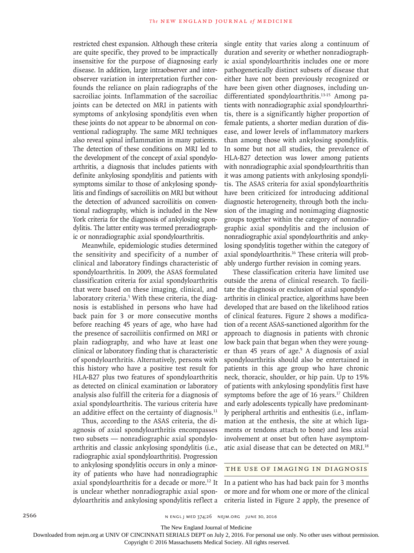restricted chest expansion. Although these criteria are quite specific, they proved to be impractically insensitive for the purpose of diagnosing early disease. In addition, large intraobserver and interobserver variation in interpretation further confounds the reliance on plain radiographs of the sacroiliac joints. Inflammation of the sacroiliac joints can be detected on MRI in patients with symptoms of ankylosing spondylitis even when these joints do not appear to be abnormal on conventional radiography. The same MRI techniques also reveal spinal inflammation in many patients. The detection of these conditions on MRI led to the development of the concept of axial spondyloarthritis, a diagnosis that includes patients with definite ankylosing spondylitis and patients with symptoms similar to those of ankylosing spondylitis and findings of sacroiliitis on MRI but without the detection of advanced sacroiliitis on conventional radiography, which is included in the New York criteria for the diagnosis of ankylosing spondylitis. The latter entity was termed preradiographic or nonradiographic axial spondyloarthritis.

Meanwhile, epidemiologic studies determined the sensitivity and specificity of a number of clinical and laboratory findings characteristic of spondyloarthritis. In 2009, the ASAS formulated classification criteria for axial spondyloarthritis that were based on these imaging, clinical, and laboratory criteria.<sup>5</sup> With these criteria, the diagnosis is established in persons who have had back pain for 3 or more consecutive months before reaching 45 years of age, who have had the presence of sacroiliitis confirmed on MRI or plain radiography, and who have at least one clinical or laboratory finding that is characteristic of spondyloarthritis. Alternatively, persons with this history who have a positive test result for HLA-B27 plus two features of spondyloarthritis as detected on clinical examination or laboratory analysis also fulfill the criteria for a diagnosis of axial spondyloarthritis. The various criteria have an additive effect on the certainty of diagnosis.<sup>11</sup>

Thus, according to the ASAS criteria, the diagnosis of axial spondyloarthritis encompasses two subsets — nonradiographic axial spondyloarthritis and classic ankylosing spondylitis (i.e., radiographic axial spondyloarthritis). Progression to ankylosing spondylitis occurs in only a minority of patients who have had nonradiographic axial spondyloarthritis for a decade or more.<sup>12</sup> It is unclear whether nonradiographic axial spondyloarthritis and ankylosing spondylitis reflect a

single entity that varies along a continuum of duration and severity or whether nonradiographic axial spondyloarthritis includes one or more pathogenetically distinct subsets of disease that either have not been previously recognized or have been given other diagnoses, including undifferentiated spondyloarthritis.<sup>13-15</sup> Among patients with nonradiographic axial spondyloarthritis, there is a significantly higher proportion of female patients, a shorter median duration of disease, and lower levels of inflammatory markers than among those with ankylosing spondylitis. In some but not all studies, the prevalence of HLA-B27 detection was lower among patients with nonradiographic axial spondyloarthritis than it was among patients with ankylosing spondylitis. The ASAS criteria for axial spondyloarthritis have been criticized for introducing additional diagnostic heterogeneity, through both the inclusion of the imaging and nonimaging diagnostic groups together within the category of nonradiographic axial spondylitis and the inclusion of nonradiographic axial spondyloarthritis and ankylosing spondylitis together within the category of axial spondyloarthritis.16 These criteria will probably undergo further revision in coming years.

These classification criteria have limited use outside the arena of clinical research. To facilitate the diagnosis or exclusion of axial spondyloarthritis in clinical practice, algorithms have been developed that are based on the likelihood ratios of clinical features. Figure 2 shows a modification of a recent ASAS-sanctioned algorithm for the approach to diagnosis in patients with chronic low back pain that began when they were younger than 45 years of age.<sup>9</sup> A diagnosis of axial spondyloarthritis should also be entertained in patients in this age group who have chronic neck, thoracic, shoulder, or hip pain. Up to 15% of patients with ankylosing spondylitis first have symptoms before the age of 16 years.<sup>17</sup> Children and early adolescents typically have predominantly peripheral arthritis and enthesitis (i.e., inflammation at the enthesis, the site at which ligaments or tendons attach to bone) and less axial involvement at onset but often have asymptomatic axial disease that can be detected on MRI.18

#### The Use of Imaging in Diagnosis

In a patient who has had back pain for 3 months or more and for whom one or more of the clinical criteria listed in Figure 2 apply, the presence of

2566 **n ENGL JMED 374;26 NEIM.ORG JUNE 30, 2016** 

The New England Journal of Medicine

Downloaded from nejm.org at UNIV OF CINCINNATI SERIALS DEPT on July 2, 2016. For personal use only. No other uses without permission.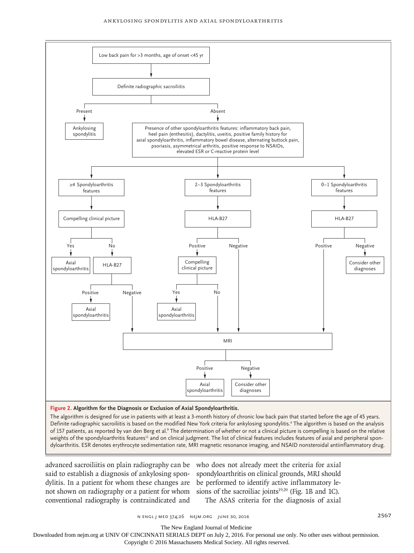

**Figure 2. Algorithm for the Diagnosis or Exclusion of Axial Spondyloarthritis.**

The algorithm is designed for use in patients with at least a 3-month history of chronic low back pain that started before the age of 45 years. Definite radiographic sacroiliitis is based on the modified New York criteria for ankylosing spondylitis.<sup>4</sup> The algorithm is based on the analysis of 157 patients, as reported by van den Berg et al.<sup>9</sup> The determination of whether or not a clinical picture is compelling is based on the relative weights of the spondyloarthritis features<sup>11</sup> and on clinical judgment. The list of clinical features includes features of axial and peripheral spondyloarthritis. ESR denotes erythrocyte sedimentation rate, MRI magnetic resonance imaging, and NSAID nonsteroidal antiinflammatory drug.

said to establish a diagnosis of ankylosing spondylitis. In a patient for whom these changes are not shown on radiography or a patient for whom conventional radiography is contraindicated and

advanced sacroiliitis on plain radiography can be who does not already meet the criteria for axial spondyloarthritis on clinical grounds, MRI should be performed to identify active inflammatory lesions of the sacroiliac joints $19,20$  (Fig. 1B and 1C). The ASAS criteria for the diagnosis of axial

n engl j med 374;26 nejm.org June 30, 2016 2567

The New England Journal of Medicine

Downloaded from nejm.org at UNIV OF CINCINNATI SERIALS DEPT on July 2, 2016. For personal use only. No other uses without permission.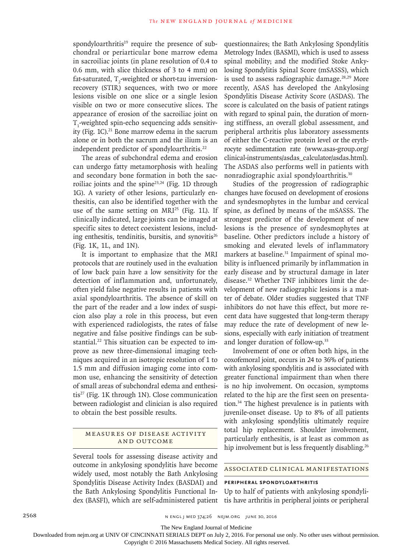spondyloarthritis $19$  require the presence of subchondral or periarticular bone marrow edema in sacroiliac joints (in plane resolution of 0.4 to 0.6 mm, with slice thickness of 3 to 4 mm) on fat-saturated,  $T_2$ -weighted or short-tau inversionrecovery (STIR) sequences, with two or more lesions visible on one slice or a single lesion visible on two or more consecutive slices. The appearance of erosion of the sacroiliac joint on  $T_1$ -weighted spin-echo sequencing adds sensitivity (Fig. 1C). $^{21}$  Bone marrow edema in the sacrum alone or in both the sacrum and the ilium is an independent predictor of spondyloarthritis.<sup>22</sup>

The areas of subchondral edema and erosion can undergo fatty metamorphosis with healing and secondary bone formation in both the sacroiliac joints and the spine $23,24$  (Fig. 1D through 1G). A variety of other lesions, particularly enthesitis, can also be identified together with the use of the same setting on  $MRI^{25}$  (Fig. 1L). If clinically indicated, large joints can be imaged at specific sites to detect coexistent lesions, including enthesitis, tendinitis, bursitis, and synovitis $26$ (Fig. 1K, 1L, and 1N).

It is important to emphasize that the MRI protocols that are routinely used in the evaluation of low back pain have a low sensitivity for the detection of inflammation and, unfortunately, often yield false negative results in patients with axial spondyloarthritis. The absence of skill on the part of the reader and a low index of suspicion also play a role in this process, but even with experienced radiologists, the rates of false negative and false positive findings can be substantial.<sup>22</sup> This situation can be expected to improve as new three-dimensional imaging techniques acquired in an isotropic resolution of 1 to 1.5 mm and diffusion imaging come into common use, enhancing the sensitivity of detection of small areas of subchondral edema and enthesitis27 (Fig. 1K through 1N). Close communication between radiologist and clinician is also required to obtain the best possible results.

## MEASURES OF DISEASE ACTIVITY and Outcome

Several tools for assessing disease activity and outcome in ankylosing spondylitis have become widely used, most notably the Bath Ankylosing Spondylitis Disease Activity Index (BASDAI) and the Bath Ankylosing Spondylitis Functional Index (BASFI), which are self-administered patient questionnaires; the Bath Ankylosing Spondylitis Metrology Index (BASMI), which is used to assess spinal mobility; and the modified Stoke Ankylosing Spondylitis Spinal Score (mSASSS), which is used to assess radiographic damage.<sup>28,29</sup> More recently, ASAS has developed the Ankylosing Spondylitis Disease Activity Score (ASDAS). The score is calculated on the basis of patient ratings with regard to spinal pain, the duration of morning stiffness, an overall global assessment, and peripheral arthritis plus laboratory assessments of either the C-reactive protein level or the erythrocyte sedimentation rate (www.asas-group.org/ clinical-instruments/asdas\_calculator/asdas.html). The ASDAS also performs well in patients with nonradiographic axial spondyloarthritis.30

Studies of the progression of radiographic changes have focused on development of erosions and syndesmophytes in the lumbar and cervical spine, as defined by means of the mSASSS. The strongest predictor of the development of new lesions is the presence of syndesmophytes at baseline. Other predictors include a history of smoking and elevated levels of inflammatory markers at baseline.<sup>31</sup> Impairment of spinal mobility is influenced primarily by inflammation in early disease and by structural damage in later disease.32 Whether TNF inhibitors limit the development of new radiographic lesions is a matter of debate. Older studies suggested that TNF inhibitors do not have this effect, but more recent data have suggested that long-term therapy may reduce the rate of development of new lesions, especially with early initiation of treatment and longer duration of follow-up.33

Involvement of one or often both hips, in the coxofemoral joint, occurs in 24 to 36% of patients with ankylosing spondylitis and is associated with greater functional impairment than when there is no hip involvement. On occasion, symptoms related to the hip are the first seen on presentation.34 The highest prevalence is in patients with juvenile-onset disease. Up to 8% of all patients with ankylosing spondylitis ultimately require total hip replacement. Shoulder involvement, particularly enthesitis, is at least as common as hip involvement but is less frequently disabling.<sup>26</sup>

#### Associated Clinical Manifestations

# **Peripheral Spondyloarthritis**

Up to half of patients with ankylosing spondylitis have arthritis in peripheral joints or peripheral

The New England Journal of Medicine

Downloaded from nejm.org at UNIV OF CINCINNATI SERIALS DEPT on July 2, 2016. For personal use only. No other uses without permission.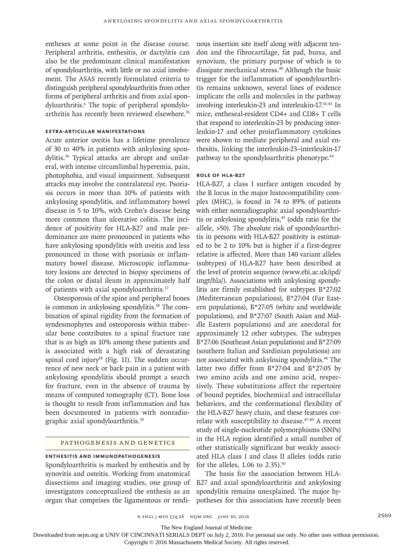entheses at some point in the disease course. Peripheral arthritis, enthesitis, or dactylitis can also be the predominant clinical manifestation of spondyloarthritis, with little or no axial involvement. The ASAS recently formulated criteria to distinguish peripheral spondyloarthritis from other forms of peripheral arthritis and from axial spondyloarthritis.<sup>6</sup> The topic of peripheral spondyloarthritis has recently been reviewed elsewhere.<sup>35</sup>

## **Extra-Articular Manifestations**

Acute anterior uveitis has a lifetime prevalence of 30 to 40% in patients with ankylosing spondylitis.36 Typical attacks are abrupt and unilateral, with intense circumlimbal hyperemia, pain, photophobia, and visual impairment. Subsequent attacks may involve the contralateral eye. Psoriasis occurs in more than 10% of patients with ankylosing spondylitis, and inflammatory bowel disease in 5 to 10%, with Crohn's disease being more common than ulcerative colitis. The incidence of positivity for HLA-B27 and male predominance are more pronounced in patients who have ankylosing spondylitis with uveitis and less pronounced in those with psoriasis or inflammatory bowel disease. Microscopic inflammatory lesions are detected in biopsy specimens of the colon or distal ileum in approximately half of patients with axial spondyloarthritis.<sup>37</sup>

Osteoporosis of the spine and peripheral bones is common in ankylosing spondylitis.<sup>38</sup> The combination of spinal rigidity from the formation of syndesmophytes and osteoporosis within trabecular bone contributes to a spinal fracture rate that is as high as 10% among these patients and is associated with a high risk of devastating spinal cord injury<sup>38</sup> (Fig. 1I). The sudden occurrence of new neck or back pain in a patient with ankylosing spondylitis should prompt a search for fracture, even in the absence of trauma by means of computed tomography (CT). Bone loss is thought to result from inflammation and has been documented in patients with nonradiographic axial spondyloarthritis.39

### Pathogenesis and Genetics

# **Enthesitis and Immunopathogenesis**

Spondyloarthritis is marked by enthesitis and by synovitis and osteitis. Working from anatomical dissections and imaging studies, one group of investigators conceptualized the enthesis as an organ that comprises the ligamentous or tendi-

nous insertion site itself along with adjacent tendon and the fibrocartilage, fat pad, bursa, and synovium, the primary purpose of which is to dissipate mechanical stress.40 Although the basic trigger for the inflammation of spondyloarthritis remains unknown, several lines of evidence implicate the cells and molecules in the pathway involving interleukin-23 and interleukin-17.41-43 In mice, entheseal-resident CD4+ and CD8+ T cells that respond to interleukin-23 by producing interleukin-17 and other proinflammatory cytokines were shown to mediate peripheral and axial enthesitis, linking the interleukin-23–interleukin-17 pathway to the spondyloarthritis phenotype.<sup>44</sup>

# **Role of HLA-B27**

HLA-B27, a class I surface antigen encoded by the B locus in the major histocompatibility complex (MHC), is found in 74 to 89% of patients with either nonradiographic axial spondyloarthritis or ankylosing spondylitis,45 (odds ratio for the allele, >50). The absolute risk of spondyloarthritis in persons with HLA-B27 positivity is estimated to be 2 to 10% but is higher if a first-degree relative is affected. More than 140 variant alleles (subtypes) of HLA-B27 have been described at the level of protein sequence (www.ebi.ac.uk/ipd/ imgt/hla/). Associations with ankylosing spondylitis are firmly established for subtypes B\*27:02 (Mediterranean populations), B\*27:04 (Far Eastern populations), B\*27:05 (white and worldwide populations), and B\*27:07 (South Asian and Middle Eastern populations) and are anecdotal for approximately 12 other subtypes. The subtypes B\*27:06 (Southeast Asian populations) and B\*27:09 (southern Italian and Sardinian populations) are not associated with ankylosing spondylitis.46 The latter two differ from  $B*27:04$  and  $B*27:05$  by two amino acids and one amino acid, respectively. These substitutions affect the repertoire of bound peptides, biochemical and intracellular behaviors, and the conformational flexibility of the HLA-B27 heavy chain, and these features correlate with susceptibility to disease.<sup>47-49</sup> A recent study of single-nucleotide polymorphisms (SNPs) in the HLA region identified a small number of other statistically significant but weakly associated HLA class I and class II alleles (odds ratio for the alleles,  $1.06$  to  $2.35$ ).<sup>50</sup>

The basis for the association between HLA-B27 and axial spondyloarthritis and ankylosing spondylitis remains unexplained. The major hypotheses for this association have recently been

n engl j med 374;26 nejm.org June 30, 2016 2569

The New England Journal of Medicine

Downloaded from nejm.org at UNIV OF CINCINNATI SERIALS DEPT on July 2, 2016. For personal use only. No other uses without permission.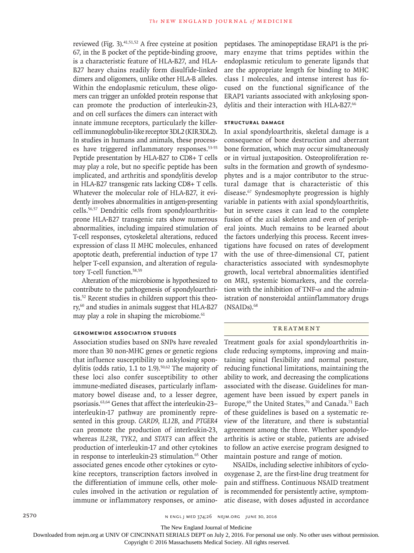reviewed (Fig. 3). $41,51,52$  A free cysteine at position 67, in the B pocket of the peptide-binding groove, is a characteristic feature of HLA-B27, and HLA-B27 heavy chains readily form disulfide-linked dimers and oligomers, unlike other HLA-B alleles. Within the endoplasmic reticulum, these oligomers can trigger an unfolded protein response that can promote the production of interleukin-23, and on cell surfaces the dimers can interact with innate immune receptors, particularly the killercell immunoglobulin-like receptor 3DL2 (KIR3DL2). In studies in humans and animals, these processes have triggered inflammatory responses.53-55 Peptide presentation by HLA-B27 to CD8+ T cells may play a role, but no specific peptide has been implicated, and arthritis and spondylitis develop in HLA-B27 transgenic rats lacking CD8+ T cells. Whatever the molecular role of HLA-B27, it evidently involves abnormalities in antigen-presenting cells.56,57 Dendritic cells from spondyloarthritisprone HLA-B27 transgenic rats show numerous abnormalities, including impaired stimulation of T-cell responses, cytoskeletal alterations, reduced expression of class II MHC molecules, enhanced apoptotic death, preferential induction of type 17 helper T-cell expansion, and alteration of regulatory T-cell function.<sup>58,59</sup>

Alteration of the microbiome is hypothesized to contribute to the pathogenesis of spondyloarthritis.52 Recent studies in children support this theory,<sup>60</sup> and studies in animals suggest that HLA-B27 may play a role in shaping the microbiome.<sup>61</sup>

# **Genomewide Association Studies**

Association studies based on SNPs have revealed more than 30 non-MHC genes or genetic regions that influence susceptibility to ankylosing spondylitis (odds ratio,  $1.1$  to  $1.9$ ).<sup>50,62</sup> The majority of these loci also confer susceptibility to other immune-mediated diseases, particularly inflammatory bowel disease and, to a lesser degree, psoriasis.63,64 Genes that affect the interleukin-23– interleukin-17 pathway are prominently represented in this group. *CARD9*, *IL12B*, and *PTGER4* can promote the production of interleukin-23, whereas *IL23R*, *TYK2*, and *STAT3* can affect the production of interleukin-17 and other cytokines in response to interleukin-23 stimulation.<sup>65</sup> Other associated genes encode other cytokines or cytokine receptors, transcription factors involved in the differentiation of immune cells, other molecules involved in the activation or regulation of immune or inflammatory responses, or aminopeptidases. The aminopeptidase ERAP1 is the primary enzyme that trims peptides within the endoplasmic reticulum to generate ligands that are the appropriate length for binding to MHC class I molecules, and intense interest has focused on the functional significance of the ERAP1 variants associated with ankylosing spondylitis and their interaction with HLA-B27.<sup>66</sup>

## **Structural Damage**

In axial spondyloarthritis, skeletal damage is a consequence of bone destruction and aberrant bone formation, which may occur simultaneously or in virtual juxtaposition. Osteoproliferation results in the formation and growth of syndesmophytes and is a major contributor to the structural damage that is characteristic of this disease.67 Syndesmophyte progression is highly variable in patients with axial spondyloarthritis, but in severe cases it can lead to the complete fusion of the axial skeleton and even of peripheral joints. Much remains to be learned about the factors underlying this process. Recent investigations have focused on rates of development with the use of three-dimensional CT, patient characteristics associated with syndesmophyte growth, local vertebral abnormalities identified on MRI, systemic biomarkers, and the correlation with the inhibition of TNF- $\alpha$  and the administration of nonsteroidal antiinflammatory drugs (NSAIDs).<sup>68</sup>

#### **TREATMENT**

Treatment goals for axial spondyloarthritis include reducing symptoms, improving and maintaining spinal flexibility and normal posture, reducing functional limitations, maintaining the ability to work, and decreasing the complications associated with the disease. Guidelines for management have been issued by expert panels in Europe,<sup>69</sup> the United States,<sup>70</sup> and Canada.<sup>71</sup> Each of these guidelines is based on a systematic review of the literature, and there is substantial agreement among the three. Whether spondyloarthritis is active or stable, patients are advised to follow an active exercise program designed to maintain posture and range of motion.

NSAIDs, including selective inhibitors of cyclooxygenase 2, are the first-line drug treatment for pain and stiffness. Continuous NSAID treatment is recommended for persistently active, symptomatic disease, with doses adjusted in accordance

The New England Journal of Medicine

Downloaded from nejm.org at UNIV OF CINCINNATI SERIALS DEPT on July 2, 2016. For personal use only. No other uses without permission.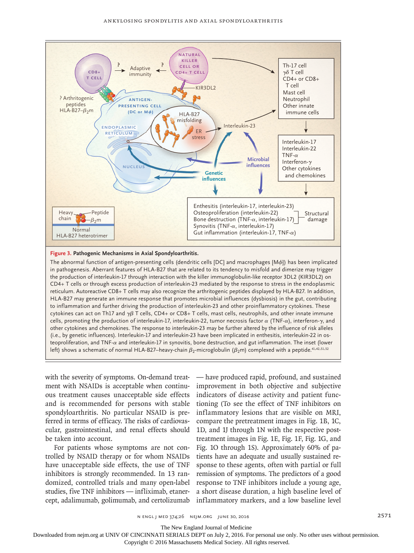

#### **Figure 3. Pathogenic Mechanisms in Axial Spondyloarthritis.**

The abnormal function of antigen-presenting cells (dendritic cells [DC] and macrophages [Mϕ]) has been implicated in pathogenesis. Aberrant features of HLA-B27 that are related to its tendency to misfold and dimerize may trigger the production of interleukin-17 through interaction with the killer immunoglobulin-like receptor 3DL2 (KIR3DL2) on CD4+ T cells or through excess production of interleukin-23 mediated by the response to stress in the endoplasmic reticulum. Autoreactive CD8+ T cells may also recognize the arthritogenic peptides displayed by HLA-B27. In addition, HLA-B27 may generate an immune response that promotes microbial influences (dysbiosis) in the gut, contributing to inflammation and further driving the production of interleukin-23 and other proinflammatory cytokines. These cytokines can act on Th17 and  $\gamma\beta$  T cells, CD4+ or CD8+ T cells, mast cells, neutrophils, and other innate immune cells, promoting the production of interleukin-17, interleukin-22, tumor necrosis factor α (TNF-α), interferon-γ, and other cytokines and chemokines. The response to interleukin-23 may be further altered by the influence of risk alleles (i.e., by genetic influences). Interleukin-17 and interleukin-23 have been implicated in enthesitis, interleukin-22 in osteoproliferation, and TNF-α and interleukin-17 in synovitis, bone destruction, and gut inflammation. The inset (lower left) shows a schematic of normal HLA-B27–heavy-chain  $\beta_2$ -microglobulin ( $\beta_2$ m) complexed with a peptide.<sup>41,42,51,52</sup>

with the severity of symptoms. On-demand treatment with NSAIDs is acceptable when continuous treatment causes unacceptable side effects and is recommended for persons with stable spondyloarthritis. No particular NSAID is preferred in terms of efficacy. The risks of cardiovascular, gastrointestinal, and renal effects should be taken into account.

For patients whose symptoms are not controlled by NSAID therapy or for whom NSAIDs have unacceptable side effects, the use of TNF inhibitors is strongly recommended. In 13 randomized, controlled trials and many open-label studies, five TNF inhibitors — infliximab, etanercept, adalimumab, golimumab, and certolizumab — have produced rapid, profound, and sustained improvement in both objective and subjective indicators of disease activity and patient functioning (To see the effect of TNF inhibitors on inflammatory lesions that are visible on MRI, compare the pretreatment images in Fig. 1B, 1C, 1D, and 1J through 1N with the respective posttreatment images in Fig. 1E, Fig. 1F, Fig. 1G, and Fig. 1O through 1S). Approximately 60% of patients have an adequate and usually sustained response to these agents, often with partial or full remission of symptoms. The predictors of a good response to TNF inhibitors include a young age, a short disease duration, a high baseline level of inflammatory markers, and a low baseline level

The New England Journal of Medicine

Downloaded from nejm.org at UNIV OF CINCINNATI SERIALS DEPT on July 2, 2016. For personal use only. No other uses without permission.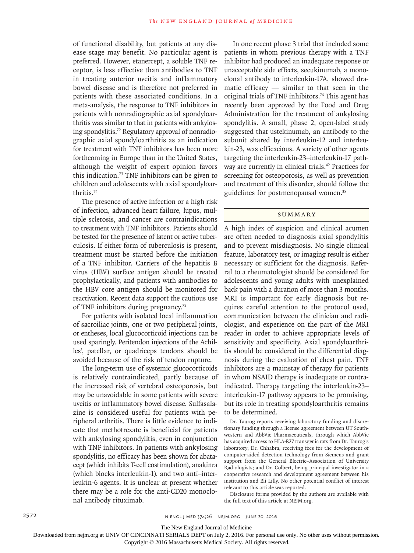of functional disability, but patients at any disease stage may benefit. No particular agent is preferred. However, etanercept, a soluble TNF receptor, is less effective than antibodies to TNF in treating anterior uveitis and inflammatory bowel disease and is therefore not preferred in patients with these associated conditions. In a meta-analysis, the response to TNF inhibitors in patients with nonradiographic axial spondyloarthritis was similar to that in patients with ankylosing spondylitis.72 Regulatory approval of nonradiographic axial spondyloarthritis as an indication for treatment with TNF inhibitors has been more forthcoming in Europe than in the United States, although the weight of expert opinion favors this indication.<sup>73</sup> TNF inhibitors can be given to children and adolescents with axial spondyloarthritis.<sup>74</sup>

The presence of active infection or a high risk of infection, advanced heart failure, lupus, multiple sclerosis, and cancer are contraindications to treatment with TNF inhibitors. Patients should be tested for the presence of latent or active tuberculosis. If either form of tuberculosis is present, treatment must be started before the initiation of a TNF inhibitor. Carriers of the hepatitis B virus (HBV) surface antigen should be treated prophylactically, and patients with antibodies to the HBV core antigen should be monitored for reactivation. Recent data support the cautious use of TNF inhibitors during pregnancy.<sup>75</sup>

For patients with isolated local inflammation of sacroiliac joints, one or two peripheral joints, or entheses, local glucocorticoid injections can be used sparingly. Peritendon injections of the Achilles', patellar, or quadriceps tendons should be avoided because of the risk of tendon rupture.

The long-term use of systemic glucocorticoids is relatively contraindicated, partly because of the increased risk of vertebral osteoporosis, but may be unavoidable in some patients with severe uveitis or inflammatory bowel disease. Sulfasalazine is considered useful for patients with peripheral arthritis. There is little evidence to indicate that methotrexate is beneficial for patients with ankylosing spondylitis, even in conjunction with TNF inhibitors. In patients with ankylosing spondylitis, no efficacy has been shown for abatacept (which inhibits T-cell costimulation), anakinra (which blocks interleukin-1), and two anti–interleukin-6 agents. It is unclear at present whether there may be a role for the anti-CD20 monoclonal antibody rituximab.

In one recent phase 3 trial that included some patients in whom previous therapy with a TNF inhibitor had produced an inadequate response or unacceptable side effects, secukinumab, a monoclonal antibody to interleukin-17A, showed dramatic efficacy — similar to that seen in the original trials of TNF inhibitors.<sup>76</sup> This agent has recently been approved by the Food and Drug Administration for the treatment of ankylosing spondylitis. A small, phase 2, open-label study suggested that ustekinumab, an antibody to the subunit shared by interleukin-12 and interleukin-23, was efficacious. A variety of other agents targeting the interleukin-23–interleukin-17 pathway are currently in clinical trials.42 Practices for screening for osteoporosis, as well as prevention and treatment of this disorder, should follow the guidelines for postmenopausal women.<sup>38</sup>

# **SUMMARY**

A high index of suspicion and clinical acumen are often needed to diagnosis axial spondylitis and to prevent misdiagnosis. No single clinical feature, laboratory test, or imaging result is either necessary or sufficient for the diagnosis. Referral to a rheumatologist should be considered for adolescents and young adults with unexplained back pain with a duration of more than 3 months. MRI is important for early diagnosis but requires careful attention to the protocol used, communication between the clinician and radiologist, and experience on the part of the MRI reader in order to achieve appropriate levels of sensitivity and specificity. Axial spondyloarthritis should be considered in the differential diagnosis during the evaluation of chest pain. TNF inhibitors are a mainstay of therapy for patients in whom NSAID therapy is inadequate or contraindicated. Therapy targeting the interleukin-23– interleukin-17 pathway appears to be promising, but its role in treating spondyloarthritis remains to be determined.

Dr. Taurog reports receiving laboratory funding and discretionary funding through a license agreement between UT Southwestern and AbbVie Pharmaceuticals, through which AbbVie has acquired access to HLA-B27 transgenic rats from Dr. Taurog's laboratory; Dr. Chhabra, receiving fees for the development of computer-aided detection technology from Siemens and grant support from the General Electric–Association of University Radiologists; and Dr. Colbert, being principal investigator in a cooperative research and development agreement between his institution and Eli Lilly. No other potential conflict of interest relevant to this article was reported.

Disclosure forms provided by the authors are available with the full text of this article at NEJM.org.

The New England Journal of Medicine

Downloaded from nejm.org at UNIV OF CINCINNATI SERIALS DEPT on July 2, 2016. For personal use only. No other uses without permission.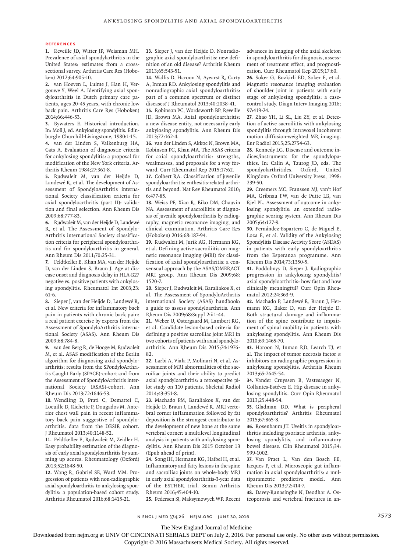#### **References**

**1.** Reveille JD, Witter JP, Weisman MH. Prevalence of axial spondylarthritis in the United States: estimates from a crosssectional survey. Arthritis Care Res (Hoboken) 2012;64:905-10.

**2.** van Hoeven L, Luime J, Han H, Vergouwe Y, Weel A. Identifying axial spondyloarthritis in Dutch primary care patients, ages 20-45 years, with chronic low back pain. Arthritis Care Res (Hoboken) 2014;66:446-53.

**3.** Bywaters E. Historical introduction. In: Moll J, ed. Ankylosing spondylitis. Edinburgh: Churchill-Livingstone, 1980:1-15. **4.** van der Linden S, Valkenburg HA, Cats A. Evaluation of diagnostic criteria for ankylosing spondylitis: a proposal for modification of the New York criteria. Arthritis Rheum 1984;27:361-8.

**5.** Rudwaleit M, van der Heijde D, Landewé R, et al. The development of Assessment of SpondyloArthritis international Society classification criteria for axial spondyloarthritis (part II): validation and final selection. Ann Rheum Dis 2009;68:777-83.

**6.** Rudwaleit M, van der Heijde D, Landewé R, et al. The Assessment of Spondylo-Arthritis international Society classification criteria for peripheral spondyloarthritis and for spondyloarthritis in general. Ann Rheum Dis 2011;70:25-31.

**7.** Feldtkeller E, Khan MA, van der Heijde D, van der Linden S, Braun J. Age at disease onset and diagnosis delay in HLA-B27 negative vs. positive patients with ankylosing spondylitis. Rheumatol Int 2003;23: 61-6.

**8.** Sieper J, van der Heijde D, Landewé R, et al. New criteria for inflammatory back pain in patients with chronic back pain: a real patient exercise by experts from the Assessment of SpondyloArthritis international Society (ASAS). Ann Rheum Dis 2009;68:784-8.

**9.** van den Berg R, de Hooge M, Rudwaleit M, et al. ASAS modification of the Berlin algorithm for diagnosing axial spondyloarthritis: results from the SPondyloArthritis Caught Early (SPACE)-cohort and from the Assessment of SpondyloArthritis international Society (ASAS)-cohort. Ann Rheum Dis 2013;72:1646-53.

**10.** Wendling D, Prati C, Demattei C, Loeuille D, Richette P, Dougados M. Anterior chest wall pain in recent inflammatory back pain suggestive of spondyloarthritis. data from the DESIR cohort. J Rheumatol 2013;40:1148-52.

**11.** Feldtkeller E, Rudwaleit M, Zeidler H. Easy probability estimation of the diagnosis of early axial spondyloarthritis by summing up scores. Rheumatology (Oxford) 2013;52:1648-50.

**12.** Wang R, Gabriel SE, Ward MM. Progression of patients with non-radiographic axial spondyloarthritis to ankylosing spondylitis: a population-based cohort study. Arthritis Rheumatol 2016;68:1415-21.

**13.** Sieper J, van der Heijde D. Nonradiographic axial spondyloarthritis: new definition of an old disease? Arthritis Rheum 2013;65:543-51.

**14.** Wallis D, Haroon N, Ayearst R, Carty A, Inman RD. Ankylosing spondylitis and nonradiographic axial spondyloarthritis: part of a common spectrum or distinct diseases? J Rheumatol 2013;40:2038-41.

**15.** Robinson PC, Wordsworth BP, Reveille JD, Brown MA. Axial spondyloarthritis: a new disease entity, not necessarily early ankylosing spondylitis. Ann Rheum Dis 2013;72:162-4.

**16.** van der Linden S, Akkoc N, Brown MA, Robinson PC, Khan MA. The ASAS criteria for axial spondyloarthritis: strengths, weaknesses, and proposals for a way forward. Curr Rheumatol Rep 2015;17:62.

**17.** Colbert RA. Classification of juvenile spondyloarthritis: enthesitis-related arthritis and beyond. Nat Rev Rheumatol 2010; 6:477-85.

**18.** Weiss PF, Xiao R, Biko DM, Chauvin NA. Assessment of sacroiliitis at diagnosis of juvenile spondyloarthritis by radiography, magnetic resonance imaging, and clinical examination. Arthritis Care Res (Hoboken) 2016;68:187-94.

**19.** Rudwaleit M, Jurik AG, Hermann KG, et al. Defining active sacroiliitis on magnetic resonance imaging (MRI) for classification of axial spondyloarthritis: a consensual approach by the ASAS/OMERACT MRI group. Ann Rheum Dis 2009;68: 1520-7.

**20.** Sieper J, Rudwaleit M, Baraliakos X, et al. The Assessment of SpondyloArthritis international Society (ASAS) handbook: a guide to assess spondyloarthritis. Ann Rheum Dis 2009;68:Suppl 2:ii1-44.

**21.** Weber U, Østergaard M, Lambert RG, et al. Candidate lesion-based criteria for defining a positive sacroiliac joint MRI in two cohorts of patients with axial spondyloarthritis. Ann Rheum Dis 2015;74:1976- 82.

**22.** Larbi A, Viala P, Molinari N, et al. Assessment of MRI abnormalities of the sacroiliac joints and their ability to predict axial spondyloarthritis: a retrospective pilot study on 110 patients. Skeletal Radiol 2014;43:351-8.

**23.** Machado PM, Baraliakos X, van der Heijde D, Braun J, Landewé R. MRI vertebral corner inflammation followed by fat deposition is the strongest contributor to the development of new bone at the same vertebral corner: a multilevel longitudinal analysis in patients with ankylosing spondylitis. Ann Rheum Dis 2015 October 13 (Epub ahead of print).

**24.** Song IH, Hermann KG, Haibel H, et al. Inflammatory and fatty lesions in the spine and sacroiliac joints on whole-body MRI in early axial spondyloarthritis-3-year data of the ESTHER trial. Semin Arthritis Rheum 2016;45:404-10.

**25.** Pedersen SJ, Maksymowych WP. Recent

advances in imaging of the axial skeleton in spondyloarthritis for diagnosis, assessment of treatment effect, and prognostication. Curr Rheumatol Rep 2015;17:60.

**26.** Soker G, Bozkirli ED, Soker E, et al. Magnetic resonance imaging evaluation of shoulder joint in patients with early stage of ankylosing spondylitis: a casecontrol study. Diagn Interv Imaging 2016; 97:419-24.

**27.** Zhao YH, Li SL, Liu ZY, et al. Detection of active sacroiliitis with ankylosing spondylitis through intravoxel incoherent motion diffusion-weighted MR imaging. Eur Radiol 2015;25:2754-63.

**28.** Kennedy LG. Disease and outcome indices/instruments for the spondylopathies. In: Calin A, Taurog JD, eds. The spondyolarthritides. Oxford, United Kingdom: Oxford University Press, 1998: 239-50.

**29.** Creemers MC, Franssen MJ, van't Hof MA, Gribnau FW, van de Putte LB, van Riel PL. Assessment of outcome in ankylosing spondylitis: an extended radiographic scoring system. Ann Rheum Dis 2005;64:127-9.

**30.** Fernández-Espartero C, de Miguel E, Loza E, et al. Validity of the Ankylosing Spondylitis Disease Activity Score (ASDAS) in patients with early spondyloarthritis from the Esperanza programme. Ann Rheum Dis 2014;73:1350-5.

**31.** Poddubnyy D, Sieper J. Radiographic progression in ankylosing spondylitis/ axial spondyloarthritis: how fast and how clinically meaningful? Curr Opin Rheumatol 2012;24:363-9.

**32.** Machado P, Landewé R, Braun J, Hermann KG, Baker D, van der Heijde D. Both structural damage and inflammation of the spine contribute to impairment of spinal mobility in patients with ankylosing spondylitis. Ann Rheum Dis 2010;69:1465-70.

**33.** Haroon N, Inman RD, Learch TJ, et al. The impact of tumor necrosis factor  $\alpha$ inhibitors on radiographic progression in ankylosing spondylitis. Arthritis Rheum 2013;65:2645-54.

**34.** Vander Cruyssen B, Vastesaeger N, Collantes-Estévez E. Hip disease in ankylosing spondylitis. Curr Opin Rheumatol 2013;25:448-54.

**35.** Gladman DD. What is peripheral spondyloarthritis? Arthritis Rheumatol 2015;67:865-8.

**36.** Rosenbaum JT. Uveitis in spondyloarthritis including psoriatic arthritis, ankylosing spondylitis, and inflammatory bowel disease. Clin Rheumatol 2015;34: 999-1002.

**37.** Van Praet L, Van den Bosch FE, Jacques P, et al. Microscopic gut inflammation in axial spondyloarthritis: a multiparametric predictive model. Ann Rheum Dis 2013;72:414-7.

**38.** Davey-Ranasinghe N, Deodhar A. Osteoporosis and vertebral fractures in an-

n engl j med 374;26 nejm.org June 30, 2016 2573

The New England Journal of Medicine

Downloaded from nejm.org at UNIV OF CINCINNATI SERIALS DEPT on July 2, 2016. For personal use only. No other uses without permission.